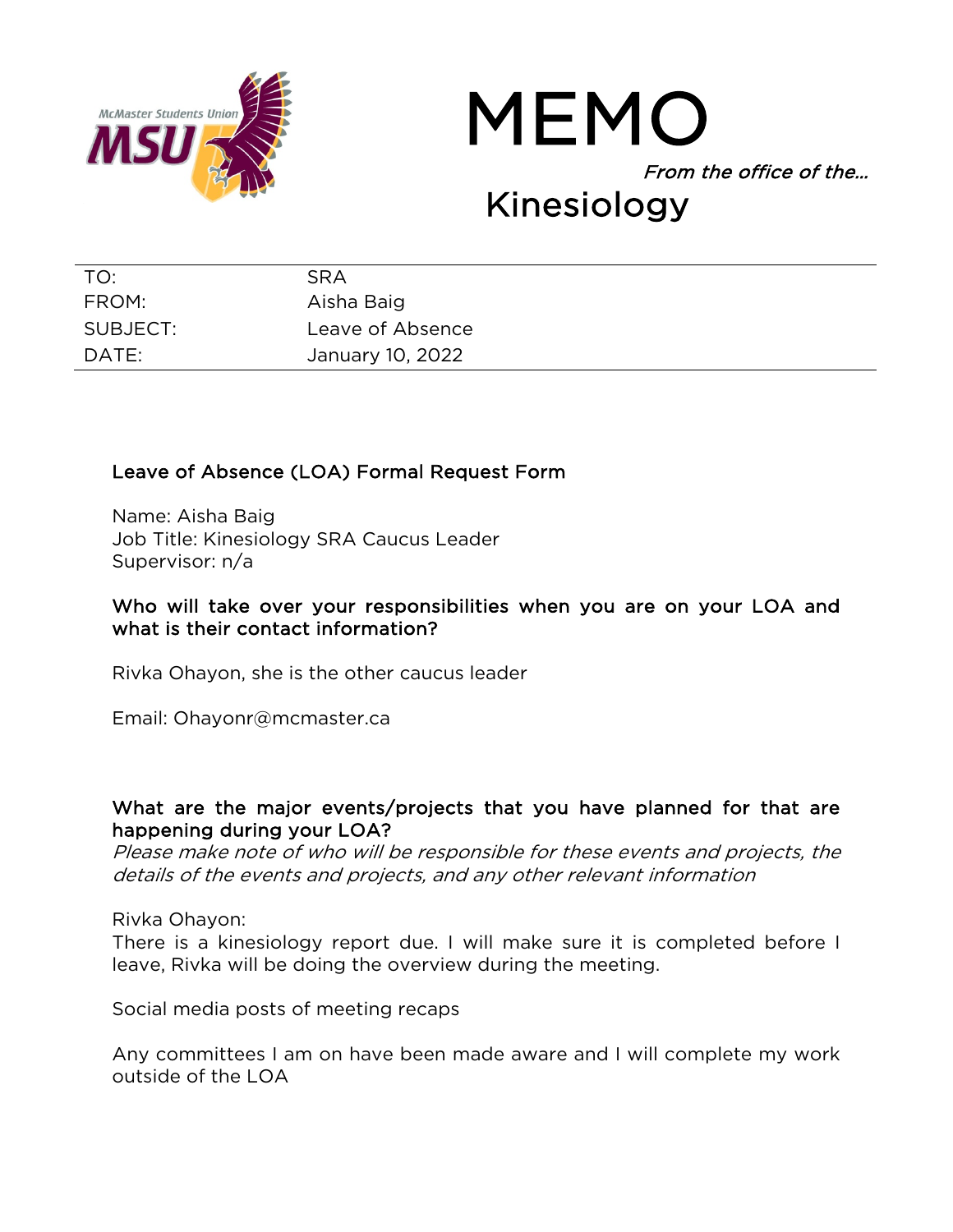



| TO:      | <b>SRA</b>       |
|----------|------------------|
| FROM:    | Aisha Baig       |
| SUBJECT: | Leave of Absence |
| DATE:    | January 10, 2022 |

## Leave of Absence (LOA) Formal Request Form

Name: Aisha Baig Job Title: Kinesiology SRA Caucus Leader Supervisor: n/a

## Who will take over your responsibilities when you are on your LOA and what is their contact information?

Rivka Ohayon, she is the other caucus leader

Email: Ohayonr@mcmaster.ca

## What are the major events/projects that you have planned for that are happening during your LOA?

Please make note of who will be responsible for these events and projects, the details of the events and projects, and any other relevant information

Rivka Ohayon:

There is a kinesiology report due. I will make sure it is completed before I leave, Rivka will be doing the overview during the meeting.

Social media posts of meeting recaps

Any committees I am on have been made aware and I will complete my work outside of the LOA